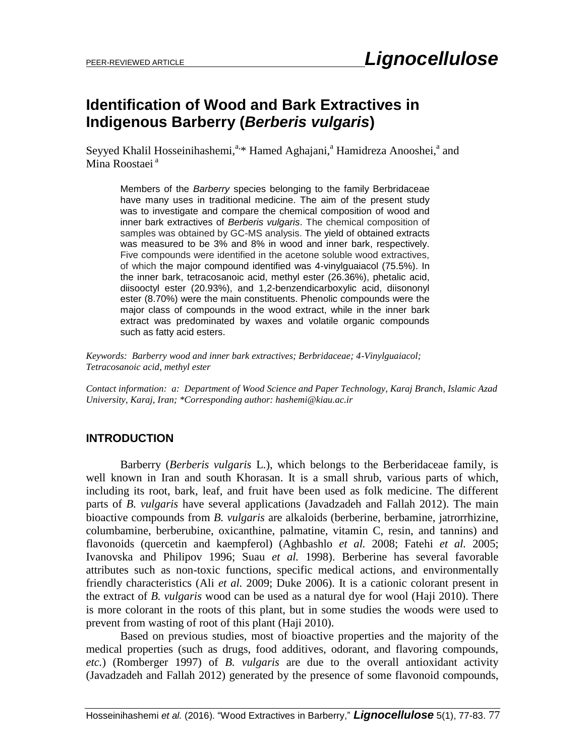# **Identification of Wood and Bark Extractives in Indigenous Barberry (***Berberis vulgaris***)**

Seyyed Khalil Hosseinihashemi,<sup>a,\*</sup> Hamed Aghajani,<sup>a</sup> Hamidreza Anooshei,<sup>a</sup> and Mina Roostaei<sup>a</sup>

Members of the *Barberry* species belonging to the family Berbridaceae have many uses in traditional medicine. The aim of the present study was to investigate and compare the chemical composition of wood and inner bark extractives of *Berberis vulgaris*. The chemical composition of samples was obtained by GC-MS analysis. The yield of obtained extracts was measured to be 3% and 8% in wood and inner bark, respectively. Five compounds were identified in the acetone soluble wood extractives, of which the major compound identified was 4-vinylguaiacol (75.5%). In the inner bark, tetracosanoic acid, methyl ester (26.36%), phetalic acid, diisooctyl ester (20.93%), and 1,2-benzendicarboxylic acid, diisononyl ester (8.70%) were the main constituents. Phenolic compounds were the major class of compounds in the wood extract, while in the inner bark extract was predominated by waxes and volatile organic compounds such as fatty acid esters.

*Keywords: Barberry wood and inner bark extractives; Berbridaceae; 4-Vinylguaiacol; Tetracosanoic acid, methyl ester*

*Contact information: a: Department of Wood Science and Paper Technology, Karaj Branch, Islamic Azad University, Karaj, Iran; \*Corresponding author: hashemi@kiau.ac.ir*

#### **INTRODUCTION**

Barberry (*Berberis vulgaris* L.), which belongs to the Berberidaceae family, is well known in Iran and south Khorasan. It is a small shrub, various parts of which, including its root, bark, leaf, and fruit have been used as folk medicine. The different parts of *B. vulgaris* have several applications (Javadzadeh and Fallah 2012). The main bioactive compounds from *B. vulgaris* are alkaloids (berberine, berbamine, jatrorrhizine, columbamine, berberubine, oxicanthine, palmatine, vitamin C, resin, and tannins) and flavonoids (quercetin and kaempferol) (Aghbashlo *et al.* 2008; Fatehi *et al.* 2005; Ivanovska and Philipov 1996; Suau *et al.* 1998). Berberine has several favorable attributes such as non-toxic functions, specific medical actions, and environmentally friendly characteristics (Ali *et al.* 2009; Duke 2006). It is a cationic colorant present in the extract of *B. vulgaris* wood can be used as a natural dye for wool (Haji 2010). There is more colorant in the roots of this plant, but in some studies the woods were used to prevent from wasting of root of this plant (Haji 2010).

Based on previous studies, most of bioactive properties and the majority of the medical properties (such as drugs, food additives, odorant, and flavoring compounds, *etc.*) (Romberger 1997) of *B. vulgaris* are due to the overall antioxidant activity (Javadzadeh and Fallah 2012) generated by the presence of some flavonoid compounds,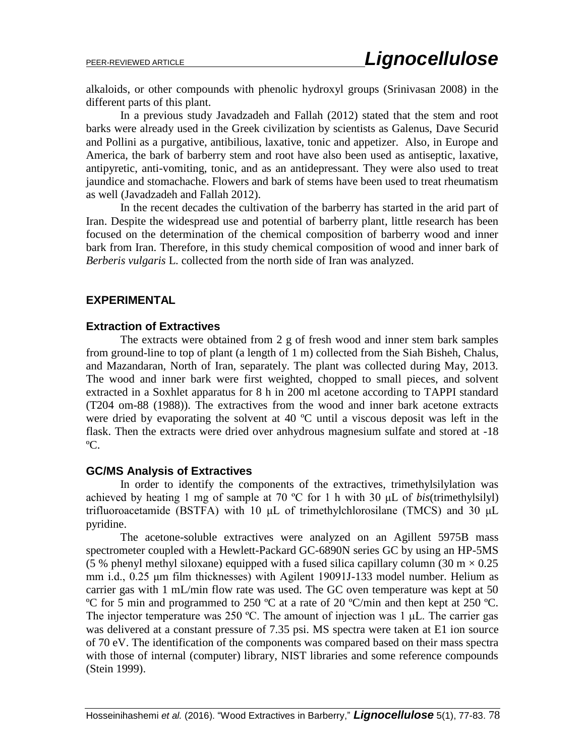alkaloids, or other compounds with phenolic hydroxyl groups (Srinivasan 2008) in the different parts of this plant.

In a previous study Javadzadeh and Fallah (2012) stated that the stem and root barks were already used in the Greek civilization by scientists as Galenus, Dave Securid and Pollini as a purgative, antibilious, laxative, tonic and appetizer. Also, in Europe and America, the bark of barberry stem and root have also been used as antiseptic, laxative, antipyretic, anti-vomiting, tonic, and as an antidepressant. They were also used to treat jaundice and stomachache. Flowers and bark of stems have been used to treat rheumatism as well (Javadzadeh and Fallah 2012).

In the recent decades the cultivation of the barberry has started in the arid part of Iran. Despite the widespread use and potential of barberry plant, little research has been focused on the determination of the chemical composition of barberry wood and inner bark from Iran. Therefore, in this study chemical composition of wood and inner bark of *Berberis vulgaris* L. collected from the north side of Iran was analyzed.

#### **EXPERIMENTAL**

#### **Extraction of Extractives**

The extracts were obtained from 2 g of fresh wood and inner stem bark samples from ground-line to top of plant (a length of 1 m) collected from the Siah Bisheh, Chalus, and Mazandaran, North of Iran, separately. The plant was collected during May, 2013. The wood and inner bark were first weighted, chopped to small pieces, and solvent extracted in a Soxhlet apparatus for 8 h in 200 ml acetone according to TAPPI standard (T204 om-88 (1988)). The extractives from the wood and inner bark acetone extracts were dried by evaporating the solvent at 40 ºC until a viscous deposit was left in the flask. Then the extracts were dried over anhydrous magnesium sulfate and stored at -18 ºC.

#### **GC/MS Analysis of Extractives**

In order to identify the components of the extractives, trimethylsilylation was achieved by heating 1 mg of sample at 70 ºC for 1 h with 30 μL of *bis*(trimethylsilyl) trifluoroacetamide (BSTFA) with 10 μL of trimethylchlorosilane (TMCS) and 30 μL pyridine.

The acetone*-*soluble extractives were analyzed on an Agillent 5975B mass spectrometer coupled with a Hewlett-Packard GC-6890N series GC by using an HP-5MS (5 % phenyl methyl siloxane) equipped with a fused silica capillary column (30 m  $\times$  0.25 mm i.d., 0.25 μm film thicknesses) with Agilent 19091J-133 model number. Helium as carrier gas with 1 mL/min flow rate was used. The GC oven temperature was kept at 50 ºC for 5 min and programmed to 250 ºC at a rate of 20 ºC/min and then kept at 250 ºC. The injector temperature was 250 ºC. The amount of injection was 1 μL. The carrier gas was delivered at a constant pressure of 7.35 psi. MS spectra were taken at E1 ion source of 70 eV. The identification of the components was compared based on their mass spectra with those of internal (computer) library, NIST libraries and some reference compounds (Stein 1999).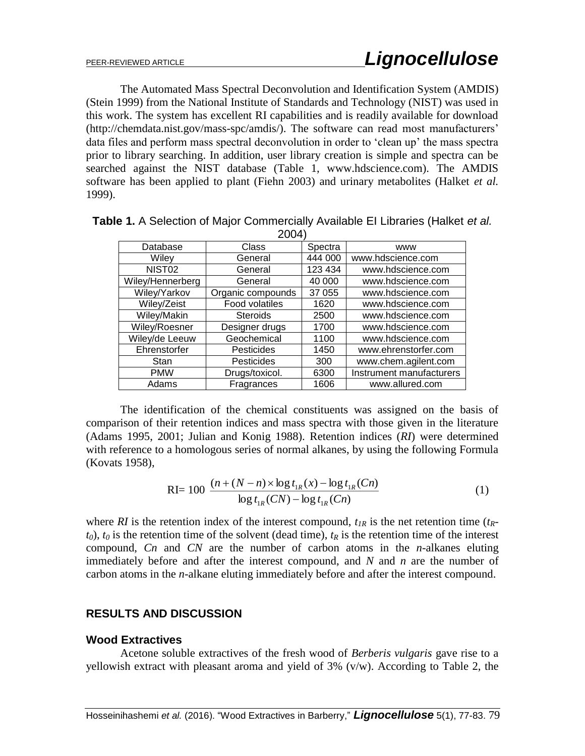The Automated Mass Spectral Deconvolution and Identification System (AMDIS) (Stein 1999) from the National Institute of Standards and Technology (NIST) was used in this work. The system has excellent RI capabilities and is readily available for download (http://chemdata.nist.gov/mass-spc/amdis/). The software can read most manufacturers' data files and perform mass spectral deconvolution in order to "clean up" the mass spectra prior to library searching. In addition, user library creation is simple and spectra can be searched against the NIST database (Table 1, www.hdscience.com). The AMDIS software has been applied to plant (Fiehn 2003) and urinary metabolites (Halket *et al.* 1999).

|                    | --                |         |                          |  |
|--------------------|-------------------|---------|--------------------------|--|
| Database           | Class             | Spectra | <b>WWW</b>               |  |
| Wiley              | General           | 444 000 | www.hdscience.com        |  |
| NIST <sub>02</sub> | General           | 123 434 | www.hdscience.com        |  |
| Wiley/Hennerberg   | General           | 40 000  | www.hdscience.com        |  |
| Wiley/Yarkov       | Organic compounds | 37 055  | www.hdscience.com        |  |
| Wiley/Zeist        | Food volatiles    | 1620    | www.hdscience.com        |  |
| Wiley/Makin        | <b>Steroids</b>   | 2500    | www.hdscience.com        |  |
| Wiley/Roesner      | Designer drugs    | 1700    | www.hdscience.com        |  |
| Wiley/de Leeuw     | Geochemical       | 1100    | www.hdscience.com        |  |
| Ehrenstorfer       | Pesticides        | 1450    | www.ehrenstorfer.com     |  |
| Stan               | Pesticides        | 300     | www.chem.agilent.com     |  |
| <b>PMW</b>         | Drugs/toxicol.    | 6300    | Instrument manufacturers |  |
| Adams              | Fragrances        | 1606    | www.allured.com          |  |

| Table 1. A Selection of Major Commercially Available El Libraries (Halket et al. |  |
|----------------------------------------------------------------------------------|--|
| 2004)                                                                            |  |

The identification of the chemical constituents was assigned on the basis of comparison of their retention indices and mass spectra with those given in the literature (Adams 1995, 2001; Julian and Konig 1988). Retention indices (*RI*) were determined with reference to a homologous series of normal alkanes, by using the following Formula (Kovats 1958),

$$
RI = 100 \frac{(n + (N - n) \times \log t_{1R}(x) - \log t_{1R}(Cn))}{\log t_{1R}(CN) - \log t_{1R}(Cn)}
$$
(1)

where *RI* is the retention index of the interest compound,  $t_{IR}$  is the net retention time  $(t_{R}$  $t_0$ ),  $t_0$  is the retention time of the solvent (dead time),  $t_R$  is the retention time of the interest compound, *Cn* and *CN* are the number of carbon atoms in the *n-*alkanes eluting immediately before and after the interest compound, and *N* and *n* are the number of carbon atoms in the *n-*alkane eluting immediately before and after the interest compound.

### **RESULTS AND DISCUSSION**

#### **Wood Extractives**

Acetone soluble extractives of the fresh wood of *Berberis vulgaris* gave rise to a yellowish extract with pleasant aroma and yield of 3% (v/w). According to Table 2, the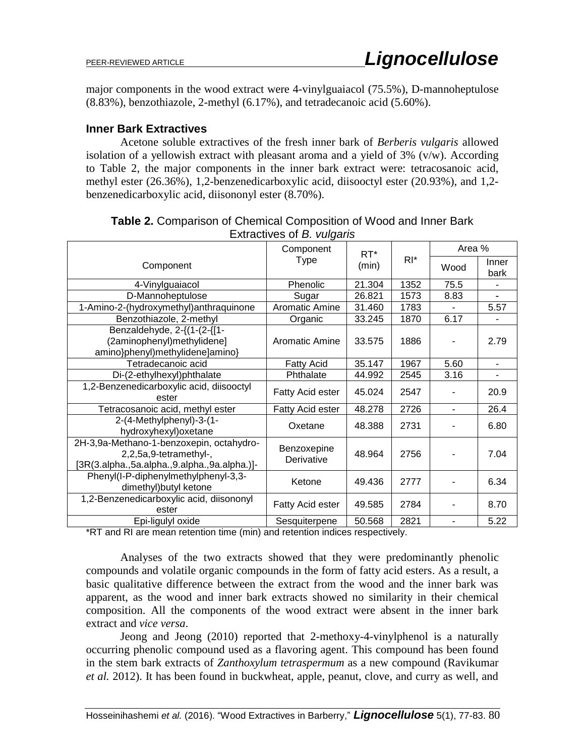major components in the wood extract were 4-vinylguaiacol (75.5%), D-mannoheptulose (8.83%), benzothiazole, 2-methyl (6.17%), and tetradecanoic acid (5.60%).

## **Inner Bark Extractives**

Acetone soluble extractives of the fresh inner bark of *Berberis vulgaris* allowed isolation of a yellowish extract with pleasant aroma and a yield of  $3\%$  (v/w). According to Table 2, the major components in the inner bark extract were: tetracosanoic acid, methyl ester (26.36%), 1,2-benzenedicarboxylic acid, diisooctyl ester (20.93%), and 1,2 benzenedicarboxylic acid, diisononyl ester (8.70%).

| Extractives of <i>B. Vulgaris</i>                                                                                  |                           |                 |        |        |                |  |
|--------------------------------------------------------------------------------------------------------------------|---------------------------|-----------------|--------|--------|----------------|--|
|                                                                                                                    | Component<br>Type         | $RT^*$<br>(min) | $RI^*$ | Area % |                |  |
| Component                                                                                                          |                           |                 |        | Wood   | Inner<br>bark  |  |
| 4-Vinylguaiacol                                                                                                    | Phenolic                  | 21.304          | 1352   | 75.5   |                |  |
| D-Mannoheptulose                                                                                                   | Sugar                     | 26.821          | 1573   | 8.83   |                |  |
| 1-Amino-2-(hydroxymethyl) anthraquinone                                                                            | <b>Aromatic Amine</b>     | 31.460          | 1783   |        | 5.57           |  |
| Benzothiazole, 2-methyl                                                                                            | Organic                   | 33.245          | 1870   | 6.17   |                |  |
| Benzaldehyde, 2-{(1-(2-{[1-<br>(2aminophenyl)methylidene]<br>amino}phenyl)methylidene]amino}                       | Aromatic Amine            | 33.575          | 1886   |        | 2.79           |  |
| Tetradecanoic acid                                                                                                 | <b>Fatty Acid</b>         | 35.147          | 1967   | 5.60   | $\blacksquare$ |  |
| Di-(2-ethylhexyl)phthalate                                                                                         | Phthalate                 | 44.992          | 2545   | 3.16   |                |  |
| 1,2-Benzenedicarboxylic acid, diisooctyl<br>ester                                                                  | Fatty Acid ester          | 45.024          | 2547   |        | 20.9           |  |
| Tetracosanoic acid, methyl ester                                                                                   | Fatty Acid ester          | 48.278          | 2726   | ÷.     | 26.4           |  |
| 2-(4-Methylphenyl)-3-(1-<br>hydroxyhexyl) oxetane                                                                  | Oxetane                   | 48.388          | 2731   |        | 6.80           |  |
| 2H-3,9a-Methano-1-benzoxepin, octahydro-<br>2,2,5a,9-tetramethyl-,<br>[3R(3.alpha.,5a.alpha.,9.alpha.,9a.alpha.)]- | Benzoxepine<br>Derivative | 48.964          | 2756   |        | 7.04           |  |
| Phenyl(I-P-diphenylmethylphenyl-3,3-<br>dimethyl) butyl ketone                                                     | Ketone                    | 49.436          | 2777   |        | 6.34           |  |
| 1,2-Benzenedicarboxylic acid, diisononyl<br>ester                                                                  | Fatty Acid ester          | 49.585          | 2784   |        | 8.70           |  |
| Epi-ligulyl oxide                                                                                                  | Sesquiterpene             | 50.568          | 2821   | ۰      | 5.22           |  |

| <b>Table 2.</b> Comparison of Chemical Composition of Wood and Inner Bark |
|---------------------------------------------------------------------------|
| Extractives of <i>B. vulgaris</i>                                         |

\*RT and RI are mean retention time (min) and retention indices respectively.

Analyses of the two extracts showed that they were predominantly phenolic compounds and volatile organic compounds in the form of fatty acid esters. As a result, a basic qualitative difference between the extract from the wood and the inner bark was apparent, as the wood and inner bark extracts showed no similarity in their chemical composition. All the components of the wood extract were absent in the inner bark extract and *vice versa*.

Jeong and Jeong (2010) reported that 2-methoxy-4-vinylphenol is a naturally occurring phenolic compound used as a flavoring agent. This compound has been found in the stem bark extracts of *Zanthoxylum tetraspermum* as a new compound (Ravikumar *et al.* 2012). It has been found in buckwheat, apple, peanut, clove, and curry as well, and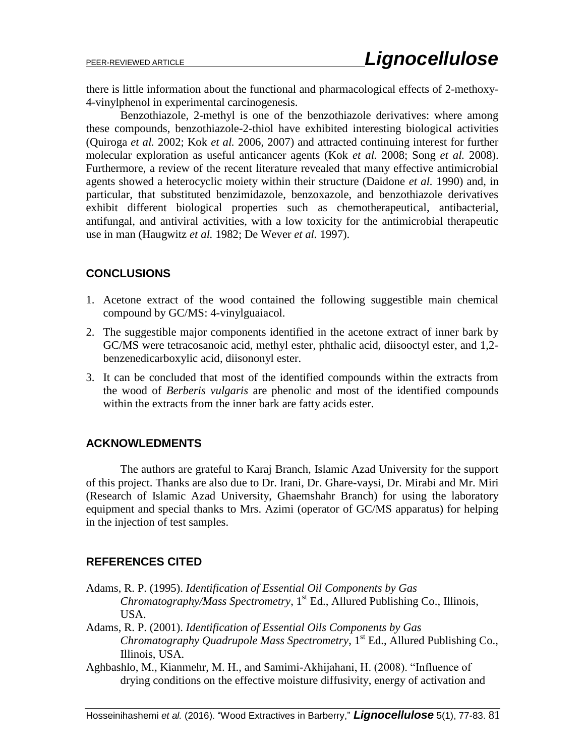there is little information about the functional and pharmacological effects of 2-methoxy-4-vinylphenol in experimental carcinogenesis.

Benzothiazole, 2-methyl is one of the benzothiazole derivatives: where among these compounds, benzothiazole-2-thiol have exhibited interesting biological activities (Quiroga *et al.* 2002; Kok *et al.* 2006, 2007) and attracted continuing interest for further molecular exploration as useful anticancer agents (Kok *et al.* 2008; Song *et al.* 2008). Furthermore, a review of the recent literature revealed that many effective antimicrobial agents showed a heterocyclic moiety within their structure (Daidone *et al.* 1990) and, in particular, that substituted benzimidazole, benzoxazole, and benzothiazole derivatives exhibit different biological properties such as chemotherapeutical, antibacterial, antifungal, and antiviral activities, with a low toxicity for the antimicrobial therapeutic use in man (Haugwitz *et al.* 1982; De Wever *et al.* 1997).

## **CONCLUSIONS**

- 1. Acetone extract of the wood contained the following suggestible main chemical compound by GC/MS: 4-vinylguaiacol.
- 2. The suggestible major components identified in the acetone extract of inner bark by GC/MS were tetracosanoic acid, methyl ester, phthalic acid, diisooctyl ester, and 1,2 benzenedicarboxylic acid, diisononyl ester.
- 3. It can be concluded that most of the identified compounds within the extracts from the wood of *Berberis vulgaris* are phenolic and most of the identified compounds within the extracts from the inner bark are fatty acids ester.

## **ACKNOWLEDMENTS**

The authors are grateful to Karaj Branch, Islamic Azad University for the support of this project. Thanks are also due to Dr. Irani, Dr. Ghare-vaysi, Dr. Mirabi and Mr. Miri (Research of Islamic Azad University, Ghaemshahr Branch) for using the laboratory equipment and special thanks to Mrs. Azimi (operator of GC/MS apparatus) for helping in the injection of test samples.

## **REFERENCES CITED**

- Adams, R. P. (1995). *Identification of Essential Oil Components by Gas Chromatography/Mass Spectrometry*, 1 st Ed., Allured Publishing Co., Illinois, USA.
- Adams, R. P. (2001). *Identification of Essential Oils Components by Gas*  Chromatography Quadrupole Mass Spectrometry, 1<sup>st</sup> Ed., Allured Publishing Co., Illinois, USA.
- Aghbashlo, M., Kianmehr, M. H., and Samimi-Akhijahani, H. (2008). "Influence of drying conditions on the effective moisture diffusivity, energy of activation and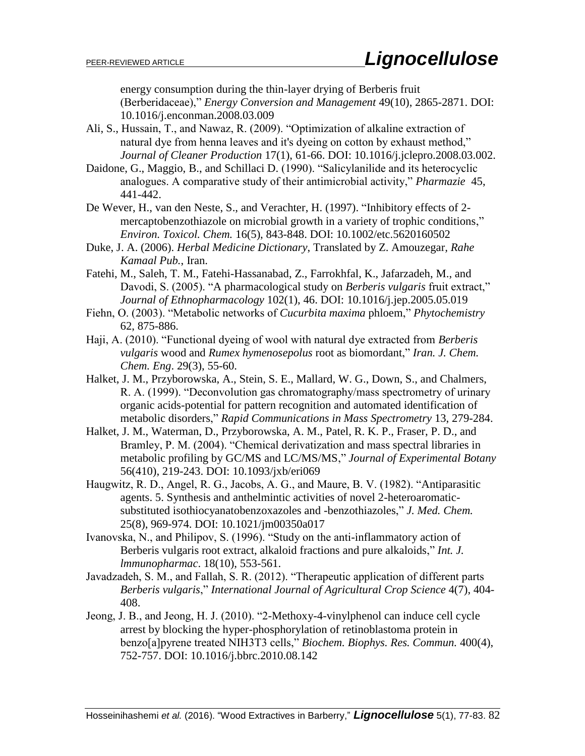energy consumption during the thin-layer drying of Berberis fruit (Berberidaceae)," *Energy Conversion and Management* 49(10), 2865-2871. DOI: 10.1016/j.enconman.2008.03.009

- Ali, S., Hussain, T., and Nawaz, R. (2009). "Optimization of alkaline extraction of natural dye from henna leaves and it's dyeing on cotton by exhaust method," *Journal of Cleaner Production* 17(1), 61-66. DOI: [10.1016/j.jclepro.2008.03.002.](http://dx.doi.org/10.1016/j.jclepro.2008.03.002)
- Daidone, G., Maggio, B., and Schillaci D. (1990). "Salicylanilide and its heterocyclic analogues. A comparative study of their antimicrobial activity," *Pharmazie* 45, 441-442.
- De Wever, H., van den Neste, S., and Verachter, H. (1997). "Inhibitory effects of 2 mercaptobenzothiazole on microbial growth in a variety of trophic conditions," *Environ. Toxicol. Chem.* 16(5), 843-848. DOI: 10.1002/etc.5620160502
- Duke, J. A. (2006). *Herbal Medicine Dictionary*, Translated by Z. Amouzegar*, Rahe Kamaal Pub.*, Iran.
- Fatehi, M., Saleh, T. M., Fatehi-Hassanabad, Z., Farrokhfal, K., Jafarzadeh, M., and Davodi, S. (2005). "A pharmacological study on *Berberis vulgaris* fruit extract," *Journal of Ethnopharmacology* 102(1), 46. DOI: 10.1016/j.jep.2005.05.019
- Fiehn, O. (2003). "Metabolic networks of *Cucurbita maxima* phloem," *Phytochemistry* 62, 875-886.
- Haji, A. (2010). "Functional dyeing of wool with natural dye extracted from *Berberis vulgaris* wood and *Rumex hymenosepolus* root as biomordant," *Iran. J. Chem. Chem. Eng*. 29(3), 55-60.
- Halket, J. M., Przyborowska, A., Stein, S. E., Mallard, W. G., Down, S., and Chalmers, R. A. (1999). "Deconvolution gas chromatography/mass spectrometry of urinary organic acids-potential for pattern recognition and automated identification of metabolic disorders," *Rapid Communications in Mass Spectrometry* 13, 279-284.
- Halket, J. M., Waterman, D., Przyborowska, A. M., Patel, R. K. P., Fraser, P. D., and Bramley, P. M. (2004). "Chemical derivatization and mass spectral libraries in metabolic profiling by GC/MS and LC/MS/MS," *Journal of Experimental Botany* 56(410), 219-243. DOI: 10.1093/jxb/eri069
- Haugwitz, R. D., Angel, R. G., Jacobs, A. G., and Maure, B. V. (1982). "Antiparasitic agents. 5. Synthesis and anthelmintic activities of novel 2-heteroaromaticsubstituted isothiocyanatobenzoxazoles and -benzothiazoles," *J. Med. Chem.* 25(8), 969-974. DOI: 10.1021/jm00350a017
- Ivanovska, N., and Philipov, S. (1996). "Study on the anti-inflammatory action of Berberis vulgaris root extract, alkaloid fractions and pure alkaloids," *Int. J. lmmunopharmac*. 18(10), 553-561.
- Javadzadeh, S. M., and Fallah, S. R. (2012). "Therapeutic application of different parts *Berberis vulgaris*," *International Journal of Agricultural Crop Science* 4(7), 404- 408.
- Jeong, J. B., and Jeong, H. J. (2010). "2-Methoxy-4-vinylphenol can induce cell cycle arrest by blocking the hyper-phosphorylation of retinoblastoma protein in benzo[a]pyrene treated NIH3T3 cells," *Biochem. Biophys. Res. Commun.* 400(4), 752-757. DOI: 10.1016/j.bbrc.2010.08.142